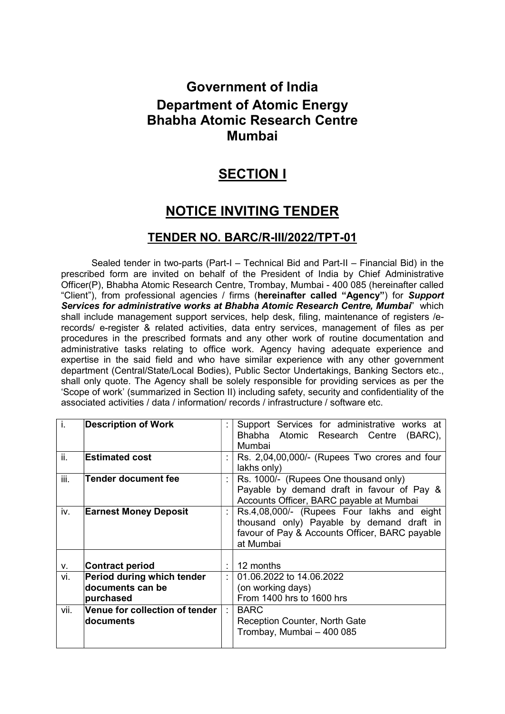# Government of India Department of Atomic Energy Bhabha Atomic Research Centre Mumbai

## **SECTION I**

# NOTICE INVITING TENDER

### TENDER NO. BARC/R-III/2022/TPT-01

 Sealed tender in two-parts (Part-I – Technical Bid and Part-II – Financial Bid) in the prescribed form are invited on behalf of the President of India by Chief Administrative Officer(P), Bhabha Atomic Research Centre, Trombay, Mumbai - 400 085 (hereinafter called "Client"), from professional agencies / firms (hereinafter called "Agency") for Support Services for administrative works at Bhabha Atomic Research Centre, Mumbai" which shall include management support services, help desk, filing, maintenance of registers /erecords/ e-register & related activities, data entry services, management of files as per procedures in the prescribed formats and any other work of routine documentation and administrative tasks relating to office work. Agency having adequate experience and expertise in the said field and who have similar experience with any other government department (Central/State/Local Bodies), Public Sector Undertakings, Banking Sectors etc., shall only quote. The Agency shall be solely responsible for providing services as per the 'Scope of work' (summarized in Section II) including safety, security and confidentiality of the associated activities / data / information/ records / infrastructure / software etc.

| İ.   | <b>Description of Work</b>                                  | Support Services for administrative works at                                                                                                           |
|------|-------------------------------------------------------------|--------------------------------------------------------------------------------------------------------------------------------------------------------|
|      |                                                             | Bhabha Atomic Research Centre<br>$(BARC)$ ,<br>Mumbai                                                                                                  |
| ii.  | <b>Estimated cost</b>                                       | Rs. 2,04,00,000/- (Rupees Two crores and four                                                                                                          |
| iii. | Tender document fee                                         | lakhs only)<br>Rs. 1000/- (Rupees One thousand only)<br>Payable by demand draft in favour of Pay &<br>Accounts Officer, BARC payable at Mumbai         |
| iv.  | <b>Earnest Money Deposit</b>                                | Rs.4,08,000/- (Rupees Four lakhs and eight<br>thousand only) Payable by demand draft in<br>favour of Pay & Accounts Officer, BARC payable<br>at Mumbai |
| ۷.   | <b>Contract period</b>                                      | 12 months                                                                                                                                              |
| vi.  | Period during which tender<br>documents can be<br>purchased | 01.06.2022 to 14.06.2022<br>(on working days)<br>From 1400 hrs to 1600 hrs                                                                             |
| vii. | Venue for collection of tender<br>documents                 | <b>BARC</b><br>Reception Counter, North Gate<br>Trombay, Mumbai - 400 085                                                                              |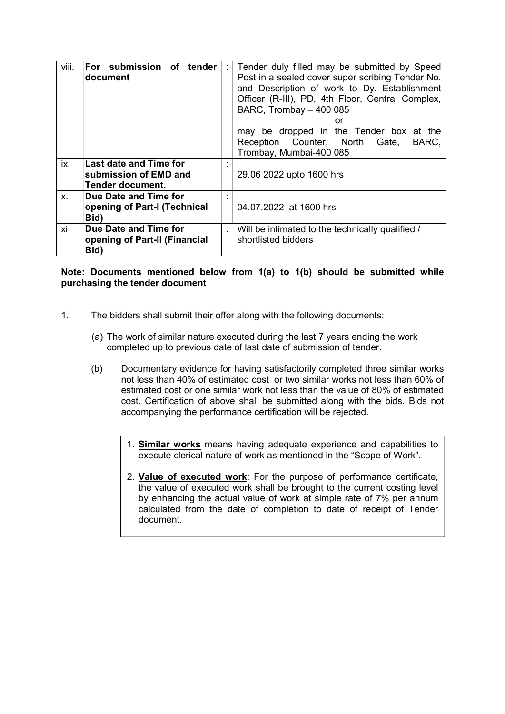| viii.   | For submission of tender<br>document                                |   | Tender duly filled may be submitted by Speed<br>Post in a sealed cover super scribing Tender No.<br>and Description of work to Dy. Establishment<br>Officer (R-III), PD, 4th Floor, Central Complex,<br>BARC, Trombay - 400 085<br>or<br>may be dropped in the Tender box at the |
|---------|---------------------------------------------------------------------|---|----------------------------------------------------------------------------------------------------------------------------------------------------------------------------------------------------------------------------------------------------------------------------------|
|         |                                                                     |   | Reception Counter, North Gate,<br>BARC,<br>Trombay, Mumbai-400 085                                                                                                                                                                                                               |
| ix.     | Last date and Time for<br>submission of EMD and<br>Tender document. |   | 29.06 2022 upto 1600 hrs                                                                                                                                                                                                                                                         |
| $X_{-}$ | Due Date and Time for<br>opening of Part-I (Technical<br>Bid)       | ٠ | 04.07.2022 at 1600 hrs                                                                                                                                                                                                                                                           |
| xi.     | Due Date and Time for<br>opening of Part-II (Financial<br>Bid)      |   | Will be intimated to the technically qualified /<br>shortlisted bidders                                                                                                                                                                                                          |

### Note: Documents mentioned below from 1(a) to 1(b) should be submitted while purchasing the tender document

- 1. The bidders shall submit their offer along with the following documents:
	- (a) The work of similar nature executed during the last 7 years ending the work completed up to previous date of last date of submission of tender.
	- (b) Documentary evidence for having satisfactorily completed three similar works not less than 40% of estimated cost or two similar works not less than 60% of estimated cost or one similar work not less than the value of 80% of estimated cost. Certification of above shall be submitted along with the bids. Bids not accompanying the performance certification will be rejected.
		- 1. Similar works means having adequate experience and capabilities to execute clerical nature of work as mentioned in the "Scope of Work".
		- 2. Value of executed work: For the purpose of performance certificate, the value of executed work shall be brought to the current costing level by enhancing the actual value of work at simple rate of 7% per annum calculated from the date of completion to date of receipt of Tender document.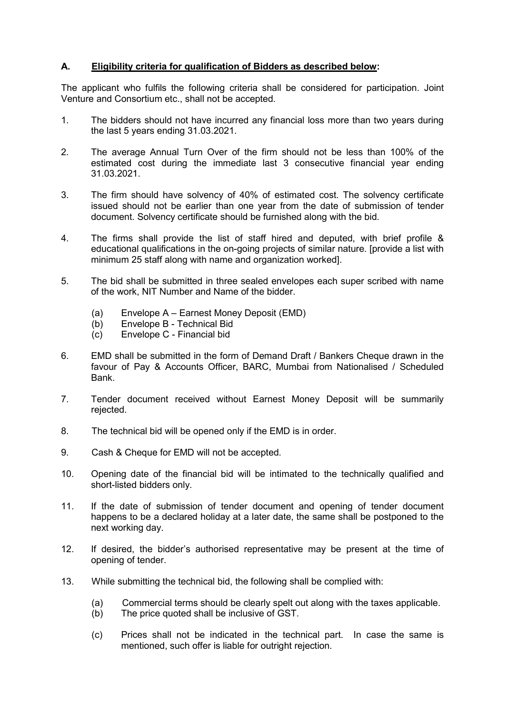### A. Eligibility criteria for qualification of Bidders as described below:

The applicant who fulfils the following criteria shall be considered for participation. Joint Venture and Consortium etc., shall not be accepted.

- 1. The bidders should not have incurred any financial loss more than two years during the last 5 years ending 31.03.2021.
- 2. The average Annual Turn Over of the firm should not be less than 100% of the estimated cost during the immediate last 3 consecutive financial year ending 31.03.2021.
- 3. The firm should have solvency of 40% of estimated cost. The solvency certificate issued should not be earlier than one year from the date of submission of tender document. Solvency certificate should be furnished along with the bid.
- 4. The firms shall provide the list of staff hired and deputed, with brief profile & educational qualifications in the on-going projects of similar nature. [provide a list with minimum 25 staff along with name and organization worked].
- 5. The bid shall be submitted in three sealed envelopes each super scribed with name of the work, NIT Number and Name of the bidder.
	- (a) Envelope A Earnest Money Deposit (EMD)
	- (b) Envelope B Technical Bid
	- (c) Envelope C Financial bid
- 6. EMD shall be submitted in the form of Demand Draft / Bankers Cheque drawn in the favour of Pay & Accounts Officer, BARC, Mumbai from Nationalised / Scheduled Bank.
- 7. Tender document received without Earnest Money Deposit will be summarily rejected.
- 8. The technical bid will be opened only if the EMD is in order.
- 9. Cash & Cheque for EMD will not be accepted.
- 10. Opening date of the financial bid will be intimated to the technically qualified and short-listed bidders only.
- 11. If the date of submission of tender document and opening of tender document happens to be a declared holiday at a later date, the same shall be postponed to the next working day.
- 12. If desired, the bidder's authorised representative may be present at the time of opening of tender.
- 13. While submitting the technical bid, the following shall be complied with:
	- (a) Commercial terms should be clearly spelt out along with the taxes applicable.
	- (b) The price quoted shall be inclusive of GST.
	- (c) Prices shall not be indicated in the technical part. In case the same is mentioned, such offer is liable for outright rejection.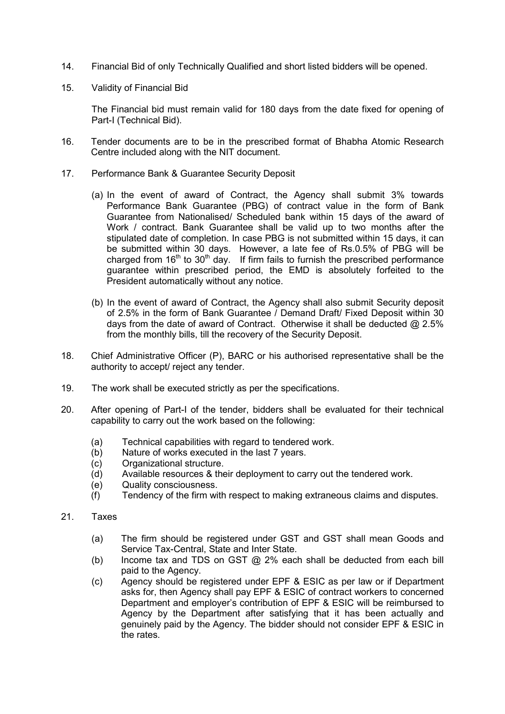- 14. Financial Bid of only Technically Qualified and short listed bidders will be opened.
- 15. Validity of Financial Bid

The Financial bid must remain valid for 180 days from the date fixed for opening of Part-I (Technical Bid).

- 16. Tender documents are to be in the prescribed format of Bhabha Atomic Research Centre included along with the NIT document.
- 17. Performance Bank & Guarantee Security Deposit
	- (a) In the event of award of Contract, the Agency shall submit 3% towards Performance Bank Guarantee (PBG) of contract value in the form of Bank Guarantee from Nationalised/ Scheduled bank within 15 days of the award of Work / contract. Bank Guarantee shall be valid up to two months after the stipulated date of completion. In case PBG is not submitted within 15 days, it can be submitted within 30 days. However, a late fee of Rs.0.5% of PBG will be charged from  $16<sup>th</sup>$  to  $30<sup>th</sup>$  day. If firm fails to furnish the prescribed performance guarantee within prescribed period, the EMD is absolutely forfeited to the President automatically without any notice.
	- (b) In the event of award of Contract, the Agency shall also submit Security deposit of 2.5% in the form of Bank Guarantee / Demand Draft/ Fixed Deposit within 30 days from the date of award of Contract. Otherwise it shall be deducted @ 2.5% from the monthly bills, till the recovery of the Security Deposit.
- 18. Chief Administrative Officer (P), BARC or his authorised representative shall be the authority to accept/ reject any tender.
- 19. The work shall be executed strictly as per the specifications.
- 20. After opening of Part-I of the tender, bidders shall be evaluated for their technical capability to carry out the work based on the following:
	- (a) Technical capabilities with regard to tendered work.
	- (b) Nature of works executed in the last 7 years.
	- (c) Organizational structure.
	- (d) Available resources & their deployment to carry out the tendered work.
	- (e) Quality consciousness.
	- (f) Tendency of the firm with respect to making extraneous claims and disputes.
- 21. Taxes
	- (a) The firm should be registered under GST and GST shall mean Goods and Service Tax-Central, State and Inter State.
	- (b) Income tax and TDS on GST  $@$  2% each shall be deducted from each bill paid to the Agency.
	- (c) Agency should be registered under EPF & ESIC as per law or if Department asks for, then Agency shall pay EPF & ESIC of contract workers to concerned Department and employer's contribution of EPF & ESIC will be reimbursed to Agency by the Department after satisfying that it has been actually and genuinely paid by the Agency. The bidder should not consider EPF & ESIC in the rates.